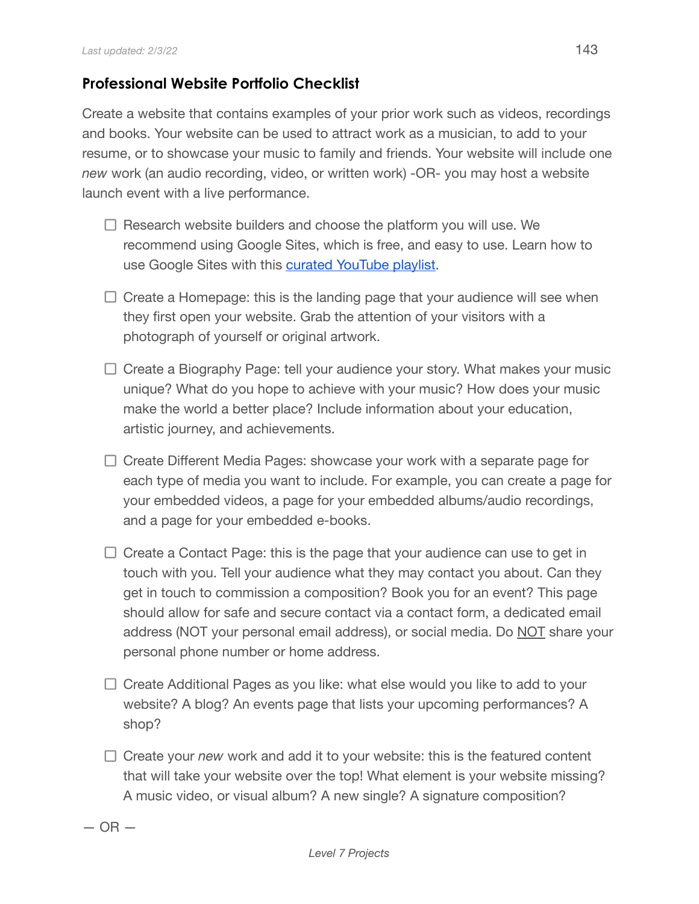## **Professional Website Portfolio Checklist**

Create a website that contains examples of your prior work such as videos, recordings and books. Your website can be used to attract work as a musician, to add to your resume, or to showcase your music to family and friends. Your website will include one *new* work (an audio recording, video, or written work) -OR- you may host a website launch event with a live performance.

- $\Box$  Research website builders and choose the platform you will use. We recommend using Google Sites, which is free, and easy to use. Learn how to use Google Sites with this **curated [YouTube](https://youtube.com/playlist?list=PL9jWkUUd6q4IPjqkb4gtmmA7m3j_4P-h1) playlist**.
- $\Box$  Create a Homepage: this is the landing page that your audience will see when they first open your website. Grab the attention of your visitors with a photograph of yourself or original artwork.
- $\Box$  Create a Biography Page: tell your audience your story. What makes your music unique? What do you hope to achieve with your music? How does your music make the world a better place? Include information about your education, artistic journey, and achievements.
- $\Box$  Create Different Media Pages: showcase your work with a separate page for each type of media you want to include. For example, you can create a page for your embedded videos, a page for your embedded albums/audio recordings, and a page for your embedded e-books.
- $\Box$  Create a Contact Page: this is the page that your audience can use to get in touch with you. Tell your audience what they may contact you about. Can they get in touch to commission a composition? Book you for an event? This page should allow for safe and secure contact via a contact form, a dedicated email address (NOT your personal email address), or social media. Do NOT share your personal phone number or home address.
- $\Box$  Create Additional Pages as you like: what else would you like to add to your website? A blog? An events page that lists your upcoming performances? A shop?
- □ Create your *new* work and add it to your website: this is the featured content that will take your website over the top! What element is your website missing? A music video, or visual album? A new single? A signature composition?

## $-$  OR  $-$